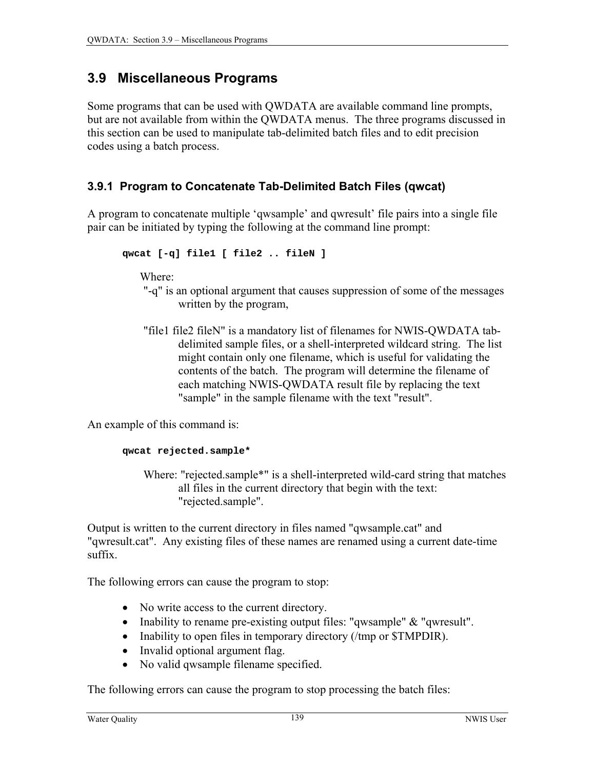# **3.9 Miscellaneous Programs**

Some programs that can be used with QWDATA are available command line prompts, but are not available from within the QWDATA menus. The three programs discussed in this section can be used to manipulate tab-delimited batch files and to edit precision codes using a batch process.

## **3.9.1 Program to Concatenate Tab-Delimited Batch Files (qwcat)**

A program to concatenate multiple 'qwsample' and qwresult' file pairs into a single file pair can be initiated by typing the following at the command line prompt:

$$
\verb"qwcat [-q] file1 [ file2 .. fileN ]"
$$

Where:

- "-q" is an optional argument that causes suppression of some of the messages written by the program,
- "file1 file2 fileN" is a mandatory list of filenames for NWIS-QWDATA tabdelimited sample files, or a shell-interpreted wildcard string. The list might contain only one filename, which is useful for validating the contents of the batch. The program will determine the filename of each matching NWIS-QWDATA result file by replacing the text "sample" in the sample filename with the text "result".

An example of this command is:

#### **qwcat rejected.sample\***

Where: "rejected.sample\*" is a shell-interpreted wild-card string that matches all files in the current directory that begin with the text: "rejected.sample".

Output is written to the current directory in files named "qwsample.cat" and "qwresult.cat". Any existing files of these names are renamed using a current date-time suffix.

The following errors can cause the program to stop:

- No write access to the current directory.
- Inability to rename pre-existing output files: "qwsample" & "qwresult".
- Inability to open files in temporary directory (/tmp or \$TMPDIR).
- Invalid optional argument flag.
- No valid qwsample filename specified.

The following errors can cause the program to stop processing the batch files: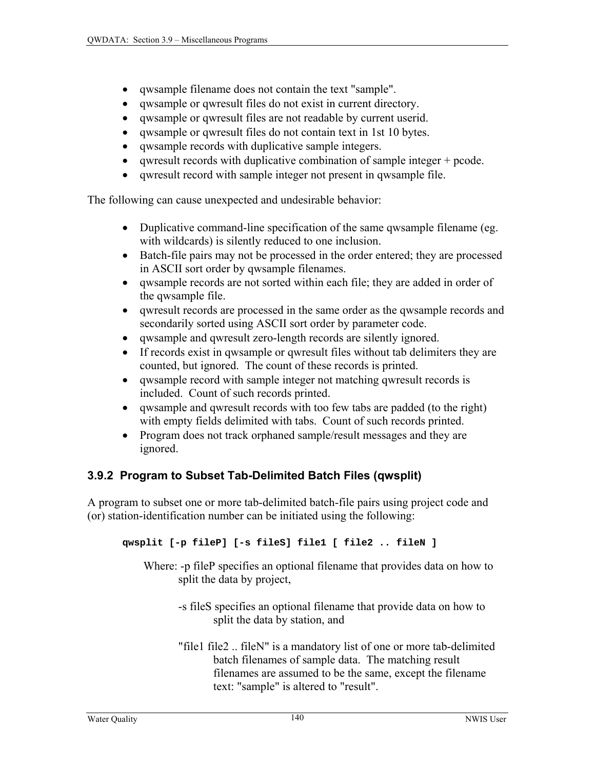- <span id="page-1-0"></span>• qwsample filename does not contain the text "sample".
- qwsample or qwresult files do not exist in current directory.
- qwsample or qwresult files are not readable by current userid.
- qwsample or qwresult files do not contain text in 1st 10 bytes.
- qwsample records with duplicative sample integers.
- qwresult records with duplicative combination of sample integer + pcode.
- qwresult record with sample integer not present in qwsample file.

The following can cause unexpected and undesirable behavior:

- Duplicative command-line specification of the same qwsample filename (eg. with wildcards) is silently reduced to one inclusion.
- Batch-file pairs may not be processed in the order entered; they are processed in ASCII sort order by qwsample filenames.
- qwsample records are not sorted within each file; they are added in order of the qwsample file.
- qwresult records are processed in the same order as the qwsample records and secondarily sorted using ASCII sort order by parameter code.
- qwsample and qwresult zero-length records are silently ignored.
- If records exist in qwsample or qwresult files without tab delimiters they are counted, but ignored. The count of these records is printed.
- qwsample record with sample integer not matching qwresult records is included. Count of such records printed.
- qwsample and qwresult records with too few tabs are padded (to the right) with empty fields delimited with tabs. Count of such records printed.
- Program does not track orphaned sample/result messages and they are ignored.

# **3.9.2 Program to Subset Tab-Delimited Batch Files (qwsplit)**

A program to subset one or more tab-delimited batch-file pairs using project code and (or) station-identification number can be initiated using the following:

## **qwsplit [-p fileP] [-s fileS] file1 [ file2 .. fileN ]**

Where: -p fileP specifies an optional filename that provides data on how to split the data by project,

- -s fileS specifies an optional filename that provide data on how to split the data by station, and
- "file1 file2 .. fileN" is a mandatory list of one or more tab-delimited batch filenames of sample data. The matching result filenames are assumed to be the same, except the filename text: "sample" is altered to "result".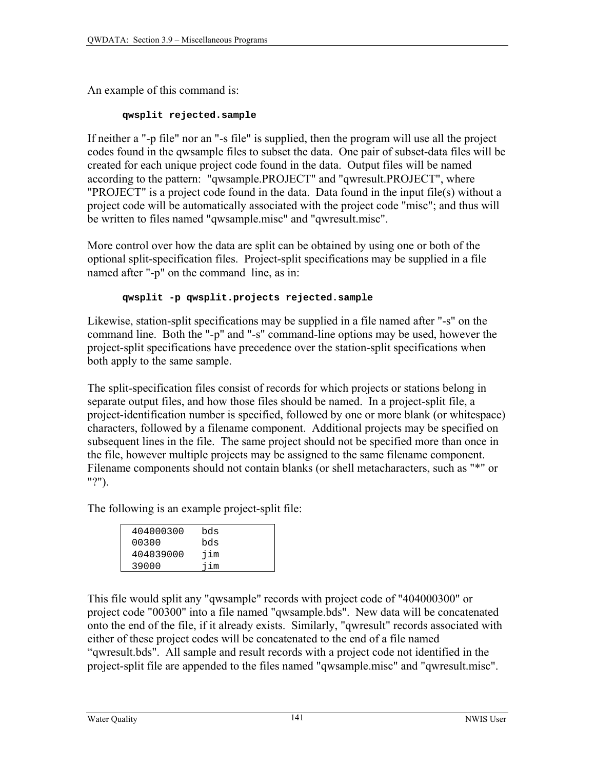An example of this command is:

#### **qwsplit rejected.sample**

If neither a "-p file" nor an "-s file" is supplied, then the program will use all the project codes found in the qwsample files to subset the data. One pair of subset-data files will be created for each unique project code found in the data. Output files will be named according to the pattern: "qwsample.PROJECT" and "qwresult.PROJECT", where "PROJECT" is a project code found in the data. Data found in the input file(s) without a project code will be automatically associated with the project code "misc"; and thus will be written to files named "qwsample.misc" and "qwresult.misc".

More control over how the data are split can be obtained by using one or both of the optional split-specification files. Project-split specifications may be supplied in a file named after "-p" on the command line, as in:

## **qwsplit -p qwsplit.projects rejected.sample**

Likewise, station-split specifications may be supplied in a file named after "-s" on the command line. Both the "-p" and "-s" command-line options may be used, however the project-split specifications have precedence over the station-split specifications when both apply to the same sample.

The split-specification files consist of records for which projects or stations belong in separate output files, and how those files should be named. In a project-split file, a project-identification number is specified, followed by one or more blank (or whitespace) characters, followed by a filename component. Additional projects may be specified on subsequent lines in the file. The same project should not be specified more than once in the file, however multiple projects may be assigned to the same filename component. Filename components should not contain blanks (or shell metacharacters, such as "\*" or "?").

The following is an example project-split file:

| 404000300 | bds |  |
|-----------|-----|--|
| 00300     | bds |  |
| 404039000 | iim |  |
| 39000     | iim |  |

This file would split any "qwsample" records with project code of "404000300" or project code "00300" into a file named "qwsample.bds". New data will be concatenated onto the end of the file, if it already exists. Similarly, "qwresult" records associated with either of these project codes will be concatenated to the end of a file named "qwresult.bds". All sample and result records with a project code not identified in the project-split file are appended to the files named "qwsample.misc" and "qwresult.misc".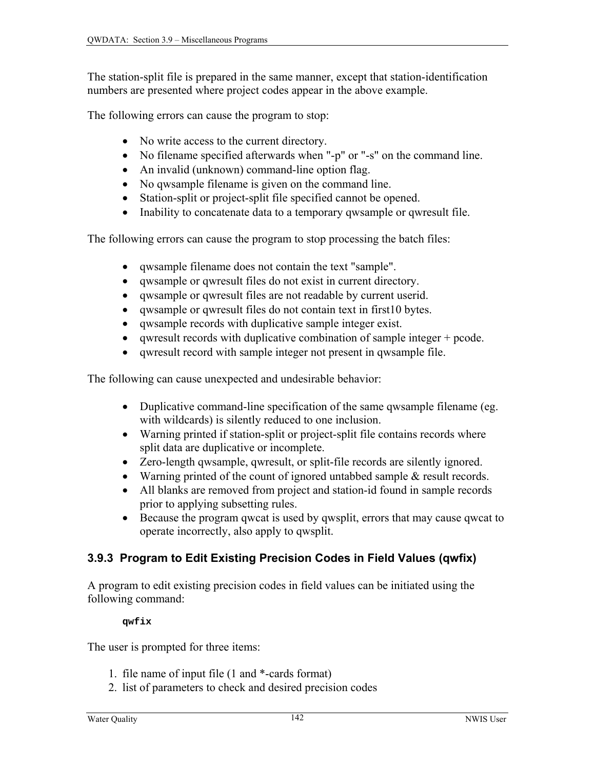The station-split file is prepared in the same manner, except that station-identification numbers are presented where project codes appear in the above example.

The following errors can cause the program to stop:

- No write access to the current directory.
- No filename specified afterwards when "-p" or "-s" on the command line.
- An invalid (unknown) command-line option flag.
- No qwsample filename is given on the command line.
- Station-split or project-split file specified cannot be opened.
- Inability to concatenate data to a temporary qwsample or qwresult file.

The following errors can cause the program to stop processing the batch files:

- qwsample filename does not contain the text "sample".
- qwsample or qwresult files do not exist in current directory.
- qwsample or qwresult files are not readable by current userid.
- qwsample or qwresult files do not contain text in first10 bytes.
- qwsample records with duplicative sample integer exist.
- qwresult records with duplicative combination of sample integer + pcode.
- qwresult record with sample integer not present in qwsample file.

The following can cause unexpected and undesirable behavior:

- Duplicative command-line specification of the same qwsample filename (eg. with wildcards) is silently reduced to one inclusion.
- Warning printed if station-split or project-split file contains records where split data are duplicative or incomplete.
- Zero-length qwsample, qwresult, or split-file records are silently ignored.
- Warning printed of the count of ignored untabbed sample & result records.
- All blanks are removed from project and station-id found in sample records prior to applying subsetting rules.
- Because the program qwcat is used by qwsplit, errors that may cause qwcat to operate incorrectly, also apply to qwsplit.

# **3.9.3 Program to Edit Existing Precision Codes in Field Values (qwfix)**

A program to edit existing precision codes in field values can be initiated using the following command:

#### **qwfix**

The user is prompted for three items:

- 1. file name of input file (1 and \*-cards format)
- 2. list of parameters to check and desired precision codes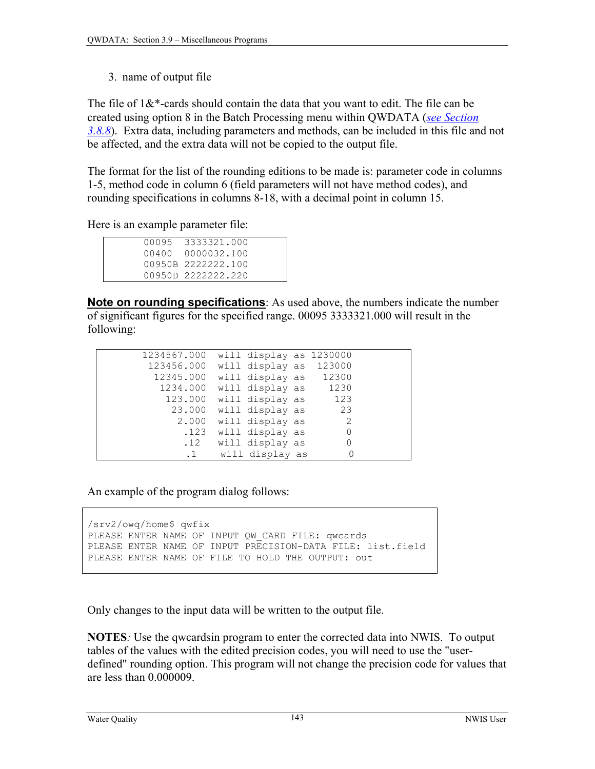3. name of output file

The file of  $1\&*$ -cards should contain the data that you want to edit. The file can be created using option 8 in the Batch Processing menu within QWDATA (*[see Section](#page-9-0)  [3.8.8](#page-9-0)*). Extra data, including parameters and methods, can be included in this file and not be affected, and the extra data will not be copied to the output file.

The format for the list of the rounding editions to be made is: parameter code in columns 1-5, method code in column 6 (field parameters will not have method codes), and rounding specifications in columns 8-18, with a decimal point in column 15.

Here is an example parameter file:

|  | 00095 3333321.000  |
|--|--------------------|
|  | 00400 0000032.100  |
|  | 00950B 2222222.100 |
|  | 00950D 2222222.220 |
|  |                    |

**Note on rounding specifications**: As used above, the numbers indicate the number of significant figures for the specified range. 00095 3333321.000 will result in the following:

 1234567.000 will display as 1230000 123456.000 will display as 123000 12345.000 will display as 12300 1234.000 will display as 1230 123.000 will display as 123 23.000 will display as 23 2.000 will display as 2<br>123 will display as 2 .123 will display as 0<br>12 will display as 0 .12 will display as 0<br>.1 will display as 0 .1 will display as

An example of the program dialog follows:

```
/srv2/owq/home$ qwfix 
PLEASE ENTER NAME OF INPUT OW CARD FILE: qwcards
PLEASE ENTER NAME OF INPUT PRECISION-DATA FILE: list.field 
PLEASE ENTER NAME OF FILE TO HOLD THE OUTPUT: out
```
Only changes to the input data will be written to the output file.

**NOTES***:* Use the qwcardsin program to enter the corrected data into NWIS. To output tables of the values with the edited precision codes, you will need to use the "userdefined" rounding option. This program will not change the precision code for values that are less than 0.000009.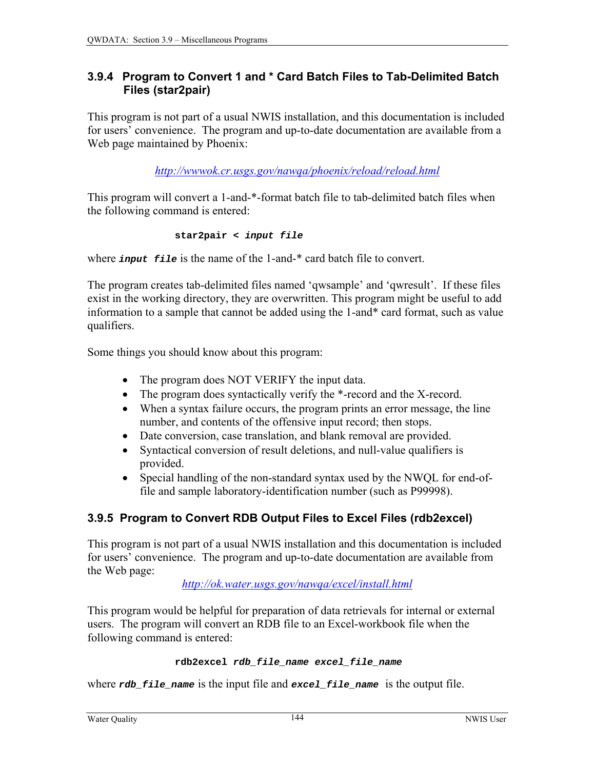## <span id="page-5-0"></span>**3.9.4 Program to Convert 1 and \* Card Batch Files to Tab-Delimited Batch Files (star2pair)**

This program is not part of a usual NWIS installation, and this documentation is included for users' convenience. The program and up-to-date documentation are available from a Web page maintained by Phoenix:

*<http://wwwok.cr.usgs.gov/nawqa/phoenix/reload/reload.html>*

This program will convert a 1-and-\*-format batch file to tab-delimited batch files when the following command is entered:

$$
\verb|star2pair < input file|\\
$$

where *input file* is the name of the 1-and-\* card batch file to convert.

The program creates tab-delimited files named 'qwsample' and 'qwresult'. If these files exist in the working directory, they are overwritten. This program might be useful to add information to a sample that cannot be added using the 1-and\* card format, such as value qualifiers.

Some things you should know about this program:

- The program does NOT VERIFY the input data.
- The program does syntactically verify the \*-record and the X-record.
- When a syntax failure occurs, the program prints an error message, the line number, and contents of the offensive input record; then stops.
- Date conversion, case translation, and blank removal are provided.
- Syntactical conversion of result deletions, and null-value qualifiers is provided.
- Special handling of the non-standard syntax used by the NWQL for end-offile and sample laboratory-identification number (such as P99998).

# **3.9.5 Program to Convert RDB Output Files to Excel Files (rdb2excel)**

This program is not part of a usual NWIS installation and this documentation is included for users' convenience. The program and up-to-date documentation are available from the Web page:

*[http://ok.water.usgs.gov/nawqa/excel/install.html](http://okwaterweb.cr.usgs.gov/nawqa/excel/install.html)*

This program would be helpful for preparation of data retrievals for internal or external users. The program will convert an RDB file to an Excel-workbook file when the following command is entered:

```
rdb2excel rdb_file_name excel_file_name
```
where *rdb* file name is the input file and excel file name is the output file.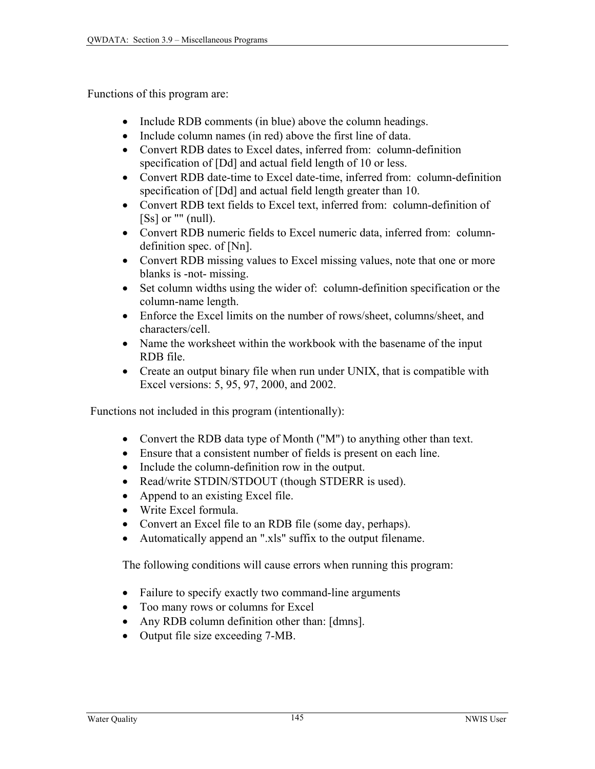Functions of this program are:

- Include RDB comments (in blue) above the column headings.
- Include column names (in red) above the first line of data.
- Convert RDB dates to Excel dates, inferred from: column-definition specification of [Dd] and actual field length of 10 or less.
- Convert RDB date-time to Excel date-time, inferred from: column-definition specification of [Dd] and actual field length greater than 10.
- Convert RDB text fields to Excel text, inferred from: column-definition of [Ss] or "" (null).
- Convert RDB numeric fields to Excel numeric data, inferred from: columndefinition spec. of [Nn].
- Convert RDB missing values to Excel missing values, note that one or more blanks is -not- missing.
- Set column widths using the wider of: column-definition specification or the column-name length.
- Enforce the Excel limits on the number of rows/sheet, columns/sheet, and characters/cell.
- Name the worksheet within the workbook with the basename of the input RDB file.
- Create an output binary file when run under UNIX, that is compatible with Excel versions: 5, 95, 97, 2000, and 2002.

Functions not included in this program (intentionally):

- Convert the RDB data type of Month ("M") to anything other than text.
- Ensure that a consistent number of fields is present on each line.
- Include the column-definition row in the output.
- Read/write STDIN/STDOUT (though STDERR is used).
- Append to an existing Excel file.
- Write Excel formula.
- Convert an Excel file to an RDB file (some day, perhaps).
- Automatically append an ".xls" suffix to the output filename.

The following conditions will cause errors when running this program:

- Failure to specify exactly two command-line arguments
- Too many rows or columns for Excel
- Any RDB column definition other than: [dmns].
- Output file size exceeding 7-MB.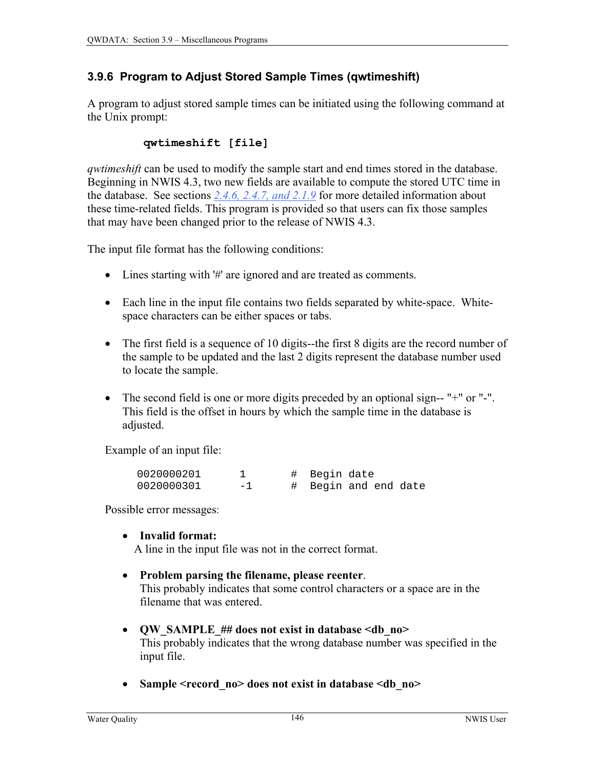## **3.9.6 Program to Adjust Stored Sample Times (qwtimeshift)**

A program to adjust stored sample times can be initiated using the following command at the Unix prompt:

## **qwtimeshift [file]**

*qwtimeshift* can be used to modify the sample start and end times stored in the database. Beginning in NWIS 4.3, two new fields are available to compute the stored UTC time in the database. See sections *[2.4.6, 2.4.7,](#page-5-0) [and 2.1.9](#page-1-0)* for more detailed information about these time-related fields. This program is provided so that users can fix those samples that may have been changed prior to the release of NWIS 4.3.

The input file format has the following conditions:

- Lines starting with '#' are ignored and are treated as comments.
- Each line in the input file contains two fields separated by white-space. Whitespace characters can be either spaces or tabs.
- The first field is a sequence of 10 digits--the first 8 digits are the record number of the sample to be updated and the last 2 digits represent the database number used to locate the sample.
- The second field is one or more digits preceded by an optional sign-- "+" or "-". This field is the offset in hours by which the sample time in the database is adjusted.

Example of an input file:

| 0020000201 |      | # Begin date         |
|------------|------|----------------------|
| 0020000301 | $-1$ | # Begin and end date |

Possible error messages:

## • **Invalid format:**

A line in the input file was not in the correct format.

- **Problem parsing the filename, please reenter**. This probably indicates that some control characters or a space are in the filename that was entered.
- **QW\_SAMPLE\_## does not exist in database <db\_no>** This probably indicates that the wrong database number was specified in the input file.
- Sample <record\_no> does not exist in database <db\_no>